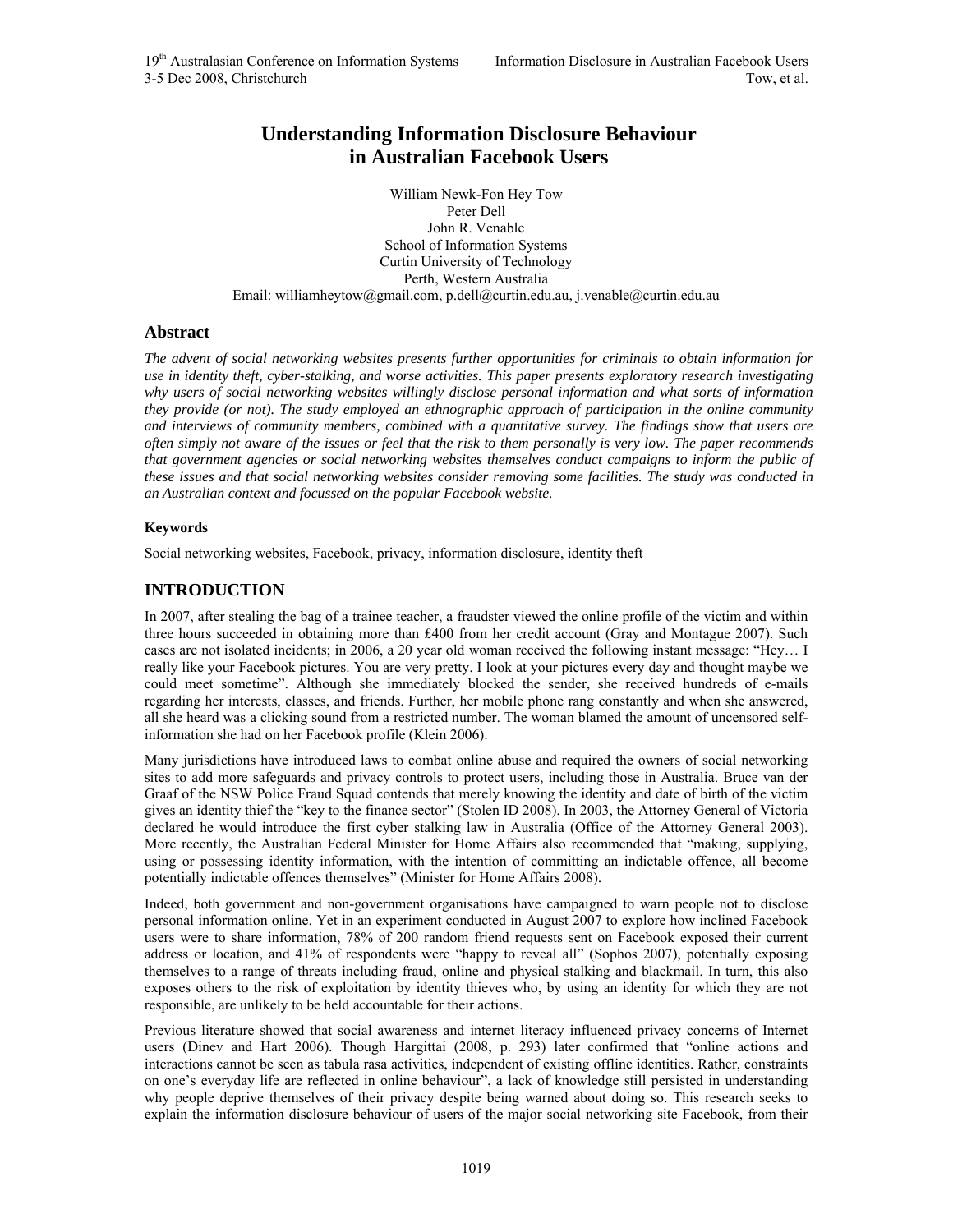# **Understanding Information Disclosure Behaviour in Australian Facebook Users**

William Newk-Fon Hey Tow Peter Dell John R. Venable School of Information Systems Curtin University of Technology Perth, Western Australia Email: williamheytow@gmail.com, p.dell@curtin.edu.au, j.venable@curtin.edu.au

#### **Abstract**

*The advent of social networking websites presents further opportunities for criminals to obtain information for use in identity theft, cyber-stalking, and worse activities. This paper presents exploratory research investigating why users of social networking websites willingly disclose personal information and what sorts of information they provide (or not). The study employed an ethnographic approach of participation in the online community and interviews of community members, combined with a quantitative survey. The findings show that users are often simply not aware of the issues or feel that the risk to them personally is very low. The paper recommends that government agencies or social networking websites themselves conduct campaigns to inform the public of these issues and that social networking websites consider removing some facilities. The study was conducted in an Australian context and focussed on the popular Facebook website.* 

#### **Keywords**

Social networking websites, Facebook, privacy, information disclosure, identity theft

## **INTRODUCTION**

In 2007, after stealing the bag of a trainee teacher, a fraudster viewed the online profile of the victim and within three hours succeeded in obtaining more than £400 from her credit account (Gray and Montague 2007). Such cases are not isolated incidents; in 2006, a 20 year old woman received the following instant message: "Hey… I really like your Facebook pictures. You are very pretty. I look at your pictures every day and thought maybe we could meet sometime". Although she immediately blocked the sender, she received hundreds of e-mails regarding her interests, classes, and friends. Further, her mobile phone rang constantly and when she answered, all she heard was a clicking sound from a restricted number. The woman blamed the amount of uncensored selfinformation she had on her Facebook profile (Klein 2006).

Many jurisdictions have introduced laws to combat online abuse and required the owners of social networking sites to add more safeguards and privacy controls to protect users, including those in Australia. Bruce van der Graaf of the NSW Police Fraud Squad contends that merely knowing the identity and date of birth of the victim gives an identity thief the "key to the finance sector" (Stolen ID 2008). In 2003, the Attorney General of Victoria declared he would introduce the first cyber stalking law in Australia (Office of the Attorney General 2003). More recently, the Australian Federal Minister for Home Affairs also recommended that "making, supplying, using or possessing identity information, with the intention of committing an indictable offence, all become potentially indictable offences themselves" (Minister for Home Affairs 2008).

Indeed, both government and non-government organisations have campaigned to warn people not to disclose personal information online. Yet in an experiment conducted in August 2007 to explore how inclined Facebook users were to share information, 78% of 200 random friend requests sent on Facebook exposed their current address or location, and 41% of respondents were "happy to reveal all" (Sophos 2007), potentially exposing themselves to a range of threats including fraud, online and physical stalking and blackmail. In turn, this also exposes others to the risk of exploitation by identity thieves who, by using an identity for which they are not responsible, are unlikely to be held accountable for their actions.

Previous literature showed that social awareness and internet literacy influenced privacy concerns of Internet users (Dinev and Hart 2006). Though Hargittai (2008, p. 293) later confirmed that "online actions and interactions cannot be seen as tabula rasa activities, independent of existing offline identities. Rather, constraints on one's everyday life are reflected in online behaviour", a lack of knowledge still persisted in understanding why people deprive themselves of their privacy despite being warned about doing so. This research seeks to explain the information disclosure behaviour of users of the major social networking site Facebook, from their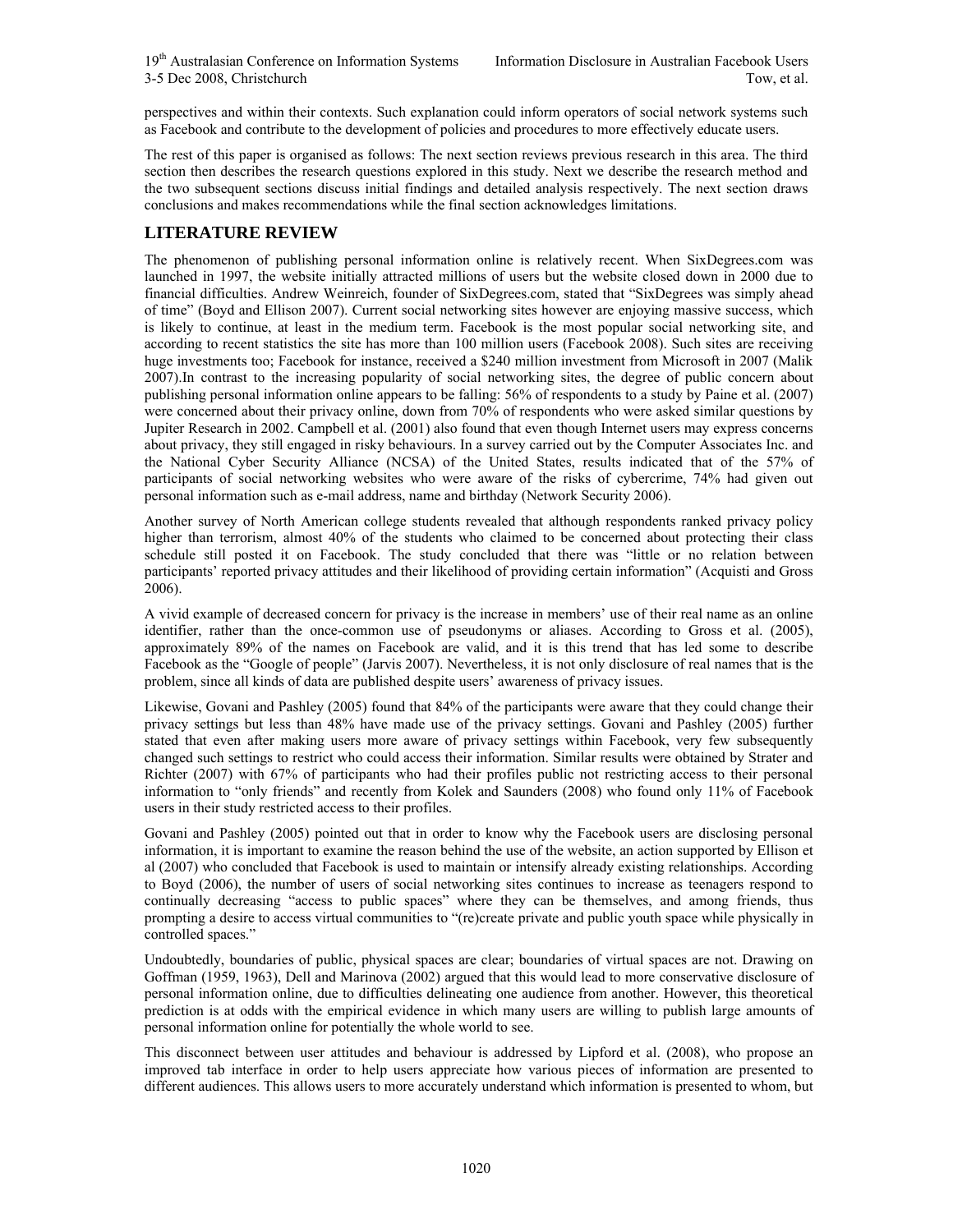perspectives and within their contexts. Such explanation could inform operators of social network systems such as Facebook and contribute to the development of policies and procedures to more effectively educate users.

The rest of this paper is organised as follows: The next section reviews previous research in this area. The third section then describes the research questions explored in this study. Next we describe the research method and the two subsequent sections discuss initial findings and detailed analysis respectively. The next section draws conclusions and makes recommendations while the final section acknowledges limitations.

# **LITERATURE REVIEW**

The phenomenon of publishing personal information online is relatively recent. When SixDegrees.com was launched in 1997, the website initially attracted millions of users but the website closed down in 2000 due to financial difficulties. Andrew Weinreich, founder of SixDegrees.com, stated that "SixDegrees was simply ahead of time" (Boyd and Ellison 2007). Current social networking sites however are enjoying massive success, which is likely to continue, at least in the medium term. Facebook is the most popular social networking site, and according to recent statistics the site has more than 100 million users (Facebook 2008). Such sites are receiving huge investments too; Facebook for instance, received a \$240 million investment from Microsoft in 2007 (Malik 2007).In contrast to the increasing popularity of social networking sites, the degree of public concern about publishing personal information online appears to be falling: 56% of respondents to a study by Paine et al. (2007) were concerned about their privacy online, down from 70% of respondents who were asked similar questions by Jupiter Research in 2002. Campbell et al. (2001) also found that even though Internet users may express concerns about privacy, they still engaged in risky behaviours. In a survey carried out by the Computer Associates Inc. and the National Cyber Security Alliance (NCSA) of the United States, results indicated that of the 57% of participants of social networking websites who were aware of the risks of cybercrime, 74% had given out personal information such as e-mail address, name and birthday (Network Security 2006).

Another survey of North American college students revealed that although respondents ranked privacy policy higher than terrorism, almost 40% of the students who claimed to be concerned about protecting their class schedule still posted it on Facebook. The study concluded that there was "little or no relation between participants' reported privacy attitudes and their likelihood of providing certain information" (Acquisti and Gross 2006).

A vivid example of decreased concern for privacy is the increase in members' use of their real name as an online identifier, rather than the once-common use of pseudonyms or aliases. According to Gross et al. (2005), approximately 89% of the names on Facebook are valid, and it is this trend that has led some to describe Facebook as the "Google of people" (Jarvis 2007). Nevertheless, it is not only disclosure of real names that is the problem, since all kinds of data are published despite users' awareness of privacy issues.

Likewise, Govani and Pashley (2005) found that 84% of the participants were aware that they could change their privacy settings but less than 48% have made use of the privacy settings. Govani and Pashley (2005) further stated that even after making users more aware of privacy settings within Facebook, very few subsequently changed such settings to restrict who could access their information. Similar results were obtained by Strater and Richter (2007) with 67% of participants who had their profiles public not restricting access to their personal information to "only friends" and recently from Kolek and Saunders (2008) who found only 11% of Facebook users in their study restricted access to their profiles.

Govani and Pashley (2005) pointed out that in order to know why the Facebook users are disclosing personal information, it is important to examine the reason behind the use of the website, an action supported by Ellison et al (2007) who concluded that Facebook is used to maintain or intensify already existing relationships. According to Boyd (2006), the number of users of social networking sites continues to increase as teenagers respond to continually decreasing "access to public spaces" where they can be themselves, and among friends, thus prompting a desire to access virtual communities to "(re)create private and public youth space while physically in controlled spaces."

Undoubtedly, boundaries of public, physical spaces are clear; boundaries of virtual spaces are not. Drawing on Goffman (1959, 1963), Dell and Marinova (2002) argued that this would lead to more conservative disclosure of personal information online, due to difficulties delineating one audience from another. However, this theoretical prediction is at odds with the empirical evidence in which many users are willing to publish large amounts of personal information online for potentially the whole world to see.

This disconnect between user attitudes and behaviour is addressed by Lipford et al. (2008), who propose an improved tab interface in order to help users appreciate how various pieces of information are presented to different audiences. This allows users to more accurately understand which information is presented to whom, but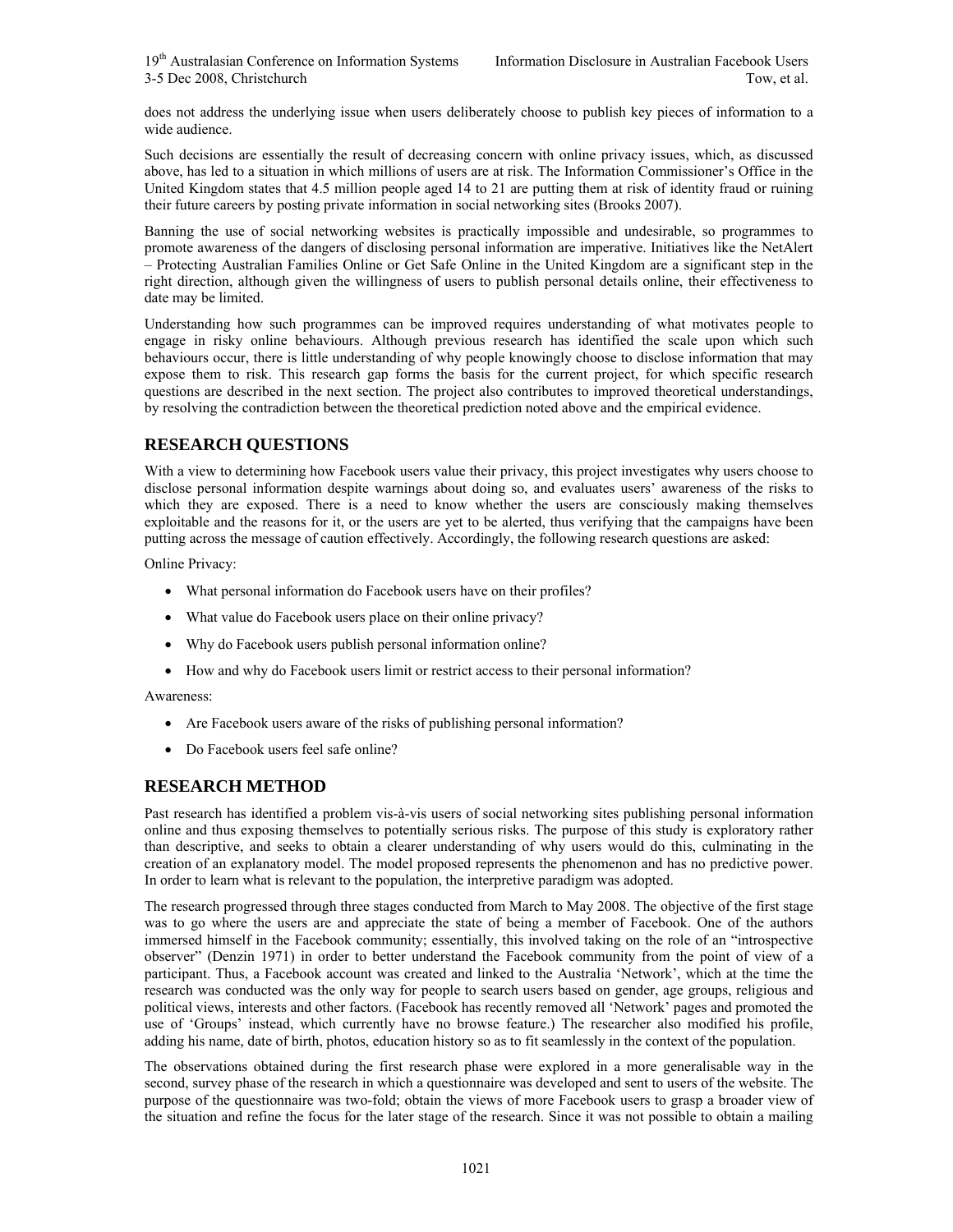does not address the underlying issue when users deliberately choose to publish key pieces of information to a wide audience.

Such decisions are essentially the result of decreasing concern with online privacy issues, which, as discussed above, has led to a situation in which millions of users are at risk. The Information Commissioner's Office in the United Kingdom states that 4.5 million people aged 14 to 21 are putting them at risk of identity fraud or ruining their future careers by posting private information in social networking sites (Brooks 2007).

Banning the use of social networking websites is practically impossible and undesirable, so programmes to promote awareness of the dangers of disclosing personal information are imperative. Initiatives like the NetAlert – Protecting Australian Families Online or Get Safe Online in the United Kingdom are a significant step in the right direction, although given the willingness of users to publish personal details online, their effectiveness to date may be limited.

Understanding how such programmes can be improved requires understanding of what motivates people to engage in risky online behaviours. Although previous research has identified the scale upon which such behaviours occur, there is little understanding of why people knowingly choose to disclose information that may expose them to risk. This research gap forms the basis for the current project, for which specific research questions are described in the next section. The project also contributes to improved theoretical understandings, by resolving the contradiction between the theoretical prediction noted above and the empirical evidence.

# **RESEARCH QUESTIONS**

With a view to determining how Facebook users value their privacy, this project investigates why users choose to disclose personal information despite warnings about doing so, and evaluates users' awareness of the risks to which they are exposed. There is a need to know whether the users are consciously making themselves exploitable and the reasons for it, or the users are yet to be alerted, thus verifying that the campaigns have been putting across the message of caution effectively. Accordingly, the following research questions are asked:

Online Privacy:

- What personal information do Facebook users have on their profiles?
- What value do Facebook users place on their online privacy?
- Why do Facebook users publish personal information online?
- How and why do Facebook users limit or restrict access to their personal information?

Awareness:

- Are Facebook users aware of the risks of publishing personal information?
- Do Facebook users feel safe online?

# **RESEARCH METHOD**

Past research has identified a problem vis-à-vis users of social networking sites publishing personal information online and thus exposing themselves to potentially serious risks. The purpose of this study is exploratory rather than descriptive, and seeks to obtain a clearer understanding of why users would do this, culminating in the creation of an explanatory model. The model proposed represents the phenomenon and has no predictive power. In order to learn what is relevant to the population, the interpretive paradigm was adopted.

The research progressed through three stages conducted from March to May 2008. The objective of the first stage was to go where the users are and appreciate the state of being a member of Facebook. One of the authors immersed himself in the Facebook community; essentially, this involved taking on the role of an "introspective observer" (Denzin 1971) in order to better understand the Facebook community from the point of view of a participant. Thus, a Facebook account was created and linked to the Australia 'Network', which at the time the research was conducted was the only way for people to search users based on gender, age groups, religious and political views, interests and other factors. (Facebook has recently removed all 'Network' pages and promoted the use of 'Groups' instead, which currently have no browse feature.) The researcher also modified his profile, adding his name, date of birth, photos, education history so as to fit seamlessly in the context of the population.

The observations obtained during the first research phase were explored in a more generalisable way in the second, survey phase of the research in which a questionnaire was developed and sent to users of the website. The purpose of the questionnaire was two-fold; obtain the views of more Facebook users to grasp a broader view of the situation and refine the focus for the later stage of the research. Since it was not possible to obtain a mailing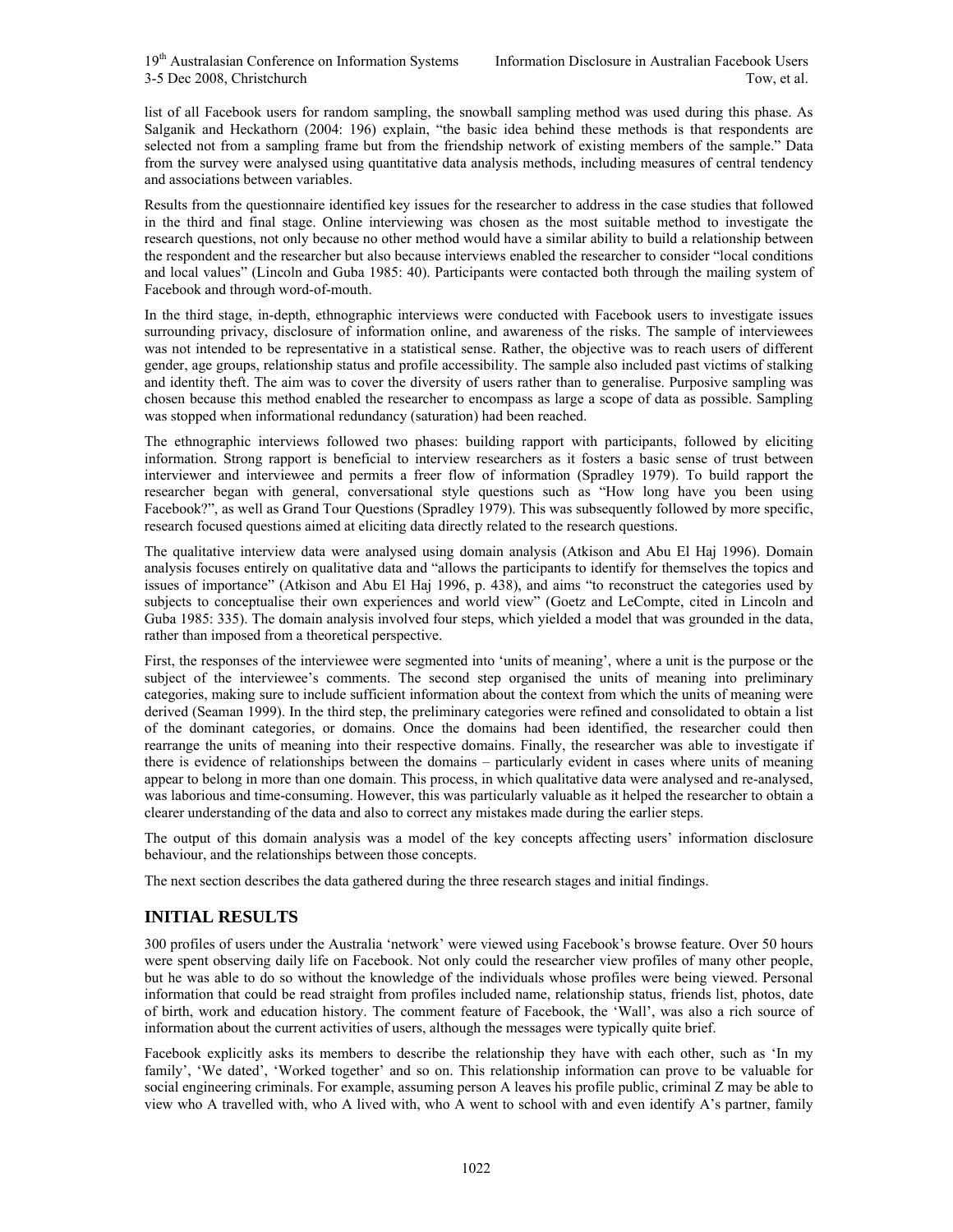list of all Facebook users for random sampling, the snowball sampling method was used during this phase. As Salganik and Heckathorn (2004: 196) explain, "the basic idea behind these methods is that respondents are selected not from a sampling frame but from the friendship network of existing members of the sample." Data from the survey were analysed using quantitative data analysis methods, including measures of central tendency and associations between variables.

Results from the questionnaire identified key issues for the researcher to address in the case studies that followed in the third and final stage. Online interviewing was chosen as the most suitable method to investigate the research questions, not only because no other method would have a similar ability to build a relationship between the respondent and the researcher but also because interviews enabled the researcher to consider "local conditions and local values" (Lincoln and Guba 1985: 40). Participants were contacted both through the mailing system of Facebook and through word-of-mouth.

In the third stage, in-depth, ethnographic interviews were conducted with Facebook users to investigate issues surrounding privacy, disclosure of information online, and awareness of the risks. The sample of interviewees was not intended to be representative in a statistical sense. Rather, the objective was to reach users of different gender, age groups, relationship status and profile accessibility. The sample also included past victims of stalking and identity theft. The aim was to cover the diversity of users rather than to generalise. Purposive sampling was chosen because this method enabled the researcher to encompass as large a scope of data as possible. Sampling was stopped when informational redundancy (saturation) had been reached.

The ethnographic interviews followed two phases: building rapport with participants, followed by eliciting information. Strong rapport is beneficial to interview researchers as it fosters a basic sense of trust between interviewer and interviewee and permits a freer flow of information (Spradley 1979). To build rapport the researcher began with general, conversational style questions such as "How long have you been using Facebook?", as well as Grand Tour Questions (Spradley 1979). This was subsequently followed by more specific, research focused questions aimed at eliciting data directly related to the research questions.

The qualitative interview data were analysed using domain analysis (Atkison and Abu El Haj 1996). Domain analysis focuses entirely on qualitative data and "allows the participants to identify for themselves the topics and issues of importance" (Atkison and Abu El Haj 1996, p. 438), and aims "to reconstruct the categories used by subjects to conceptualise their own experiences and world view" (Goetz and LeCompte, cited in Lincoln and Guba 1985: 335). The domain analysis involved four steps, which yielded a model that was grounded in the data, rather than imposed from a theoretical perspective.

First, the responses of the interviewee were segmented into 'units of meaning', where a unit is the purpose or the subject of the interviewee's comments. The second step organised the units of meaning into preliminary categories, making sure to include sufficient information about the context from which the units of meaning were derived (Seaman 1999). In the third step, the preliminary categories were refined and consolidated to obtain a list of the dominant categories, or domains. Once the domains had been identified, the researcher could then rearrange the units of meaning into their respective domains. Finally, the researcher was able to investigate if there is evidence of relationships between the domains – particularly evident in cases where units of meaning appear to belong in more than one domain. This process, in which qualitative data were analysed and re-analysed, was laborious and time-consuming. However, this was particularly valuable as it helped the researcher to obtain a clearer understanding of the data and also to correct any mistakes made during the earlier steps.

The output of this domain analysis was a model of the key concepts affecting users' information disclosure behaviour, and the relationships between those concepts.

The next section describes the data gathered during the three research stages and initial findings.

## **INITIAL RESULTS**

300 profiles of users under the Australia 'network' were viewed using Facebook's browse feature. Over 50 hours were spent observing daily life on Facebook. Not only could the researcher view profiles of many other people, but he was able to do so without the knowledge of the individuals whose profiles were being viewed. Personal information that could be read straight from profiles included name, relationship status, friends list, photos, date of birth, work and education history. The comment feature of Facebook, the 'Wall', was also a rich source of information about the current activities of users, although the messages were typically quite brief.

Facebook explicitly asks its members to describe the relationship they have with each other, such as 'In my family', 'We dated', 'Worked together' and so on. This relationship information can prove to be valuable for social engineering criminals. For example, assuming person A leaves his profile public, criminal Z may be able to view who A travelled with, who A lived with, who A went to school with and even identify A's partner, family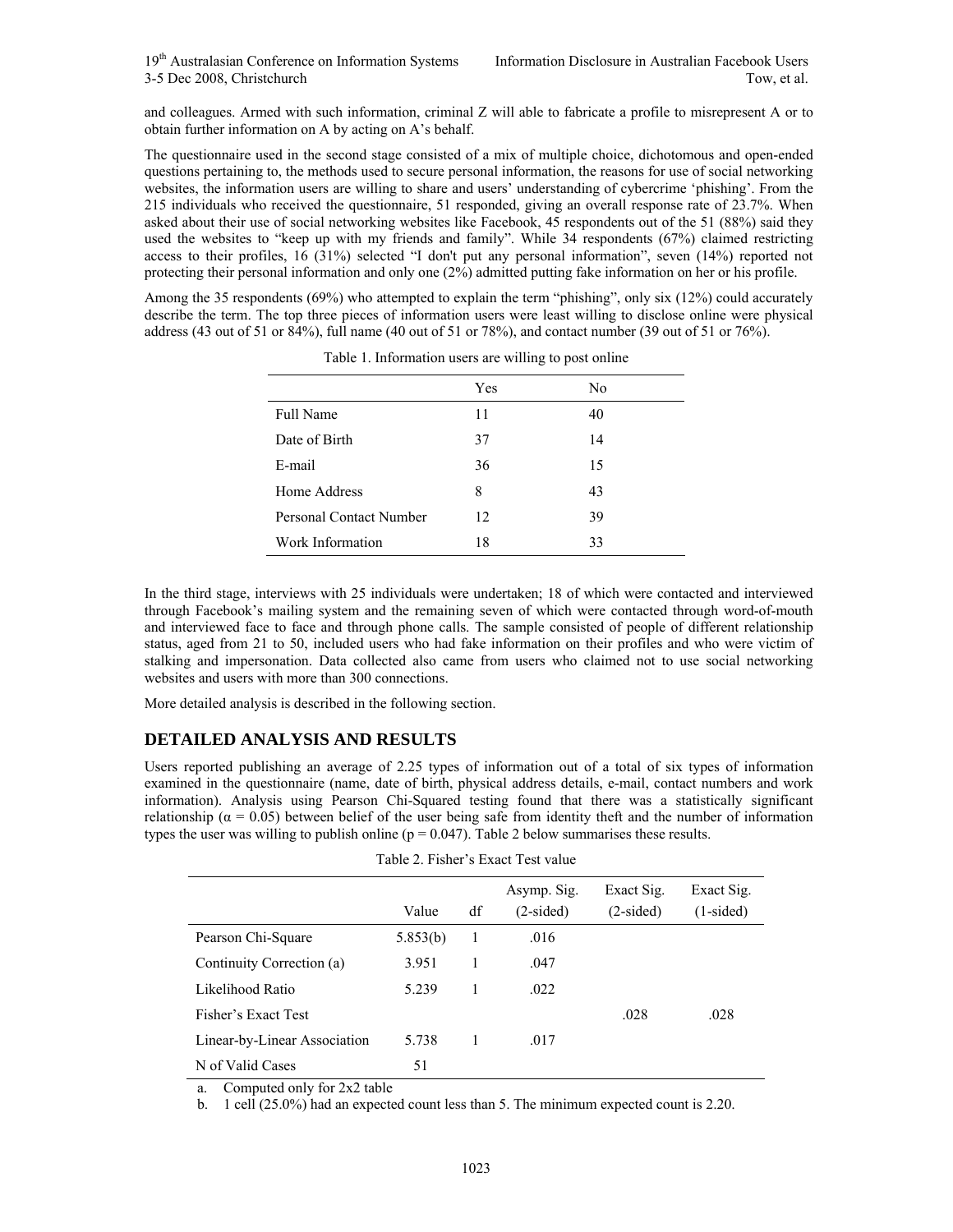and colleagues. Armed with such information, criminal Z will able to fabricate a profile to misrepresent A or to obtain further information on A by acting on A's behalf.

The questionnaire used in the second stage consisted of a mix of multiple choice, dichotomous and open-ended questions pertaining to, the methods used to secure personal information, the reasons for use of social networking websites, the information users are willing to share and users' understanding of cybercrime 'phishing'. From the 215 individuals who received the questionnaire, 51 responded, giving an overall response rate of 23.7%. When asked about their use of social networking websites like Facebook, 45 respondents out of the 51 (88%) said they used the websites to "keep up with my friends and family". While 34 respondents (67%) claimed restricting access to their profiles, 16 (31%) selected "I don't put any personal information", seven (14%) reported not protecting their personal information and only one (2%) admitted putting fake information on her or his profile.

Among the 35 respondents (69%) who attempted to explain the term "phishing", only six (12%) could accurately describe the term. The top three pieces of information users were least willing to disclose online were physical address (43 out of 51 or 84%), full name (40 out of 51 or 78%), and contact number (39 out of 51 or 76%).

|                         | Yes | No |
|-------------------------|-----|----|
| Full Name               | 11  | 40 |
| Date of Birth           | 37  | 14 |
| E-mail                  | 36  | 15 |
| Home Address            | 8   | 43 |
| Personal Contact Number | 12  | 39 |
| Work Information        | 18  | 33 |

Table 1. Information users are willing to post online

In the third stage, interviews with 25 individuals were undertaken; 18 of which were contacted and interviewed through Facebook's mailing system and the remaining seven of which were contacted through word-of-mouth and interviewed face to face and through phone calls. The sample consisted of people of different relationship status, aged from 21 to 50, included users who had fake information on their profiles and who were victim of stalking and impersonation. Data collected also came from users who claimed not to use social networking websites and users with more than 300 connections.

More detailed analysis is described in the following section.

# **DETAILED ANALYSIS AND RESULTS**

Users reported publishing an average of 2.25 types of information out of a total of six types of information examined in the questionnaire (name, date of birth, physical address details, e-mail, contact numbers and work information). Analysis using Pearson Chi-Squared testing found that there was a statistically significant relationship ( $α = 0.05$ ) between belief of the user being safe from identity theft and the number of information types the user was willing to publish online ( $p = 0.047$ ). Table 2 below summarises these results.

| Table 2. Fisher S Exact Test value |          |    |                            |                           |                           |  |  |
|------------------------------------|----------|----|----------------------------|---------------------------|---------------------------|--|--|
|                                    | Value    | df | Asymp. Sig.<br>$(2-sided)$ | Exact Sig.<br>$(2-sided)$ | Exact Sig.<br>$(1-sided)$ |  |  |
| Pearson Chi-Square                 | 5.853(b) | 1  | .016                       |                           |                           |  |  |
| Continuity Correction (a)          | 3.951    | 1  | .047                       |                           |                           |  |  |
| Likelihood Ratio                   | 5.239    | 1  | .022                       |                           |                           |  |  |
| Fisher's Exact Test                |          |    |                            | .028                      | .028                      |  |  |
| Linear-by-Linear Association       | 5.738    | 1  | .017                       |                           |                           |  |  |
| N of Valid Cases                   | 51       |    |                            |                           |                           |  |  |

Table 2. Fisher's Exact Test value

a. Computed only for 2x2 table

b. 1 cell (25.0%) had an expected count less than 5. The minimum expected count is 2.20.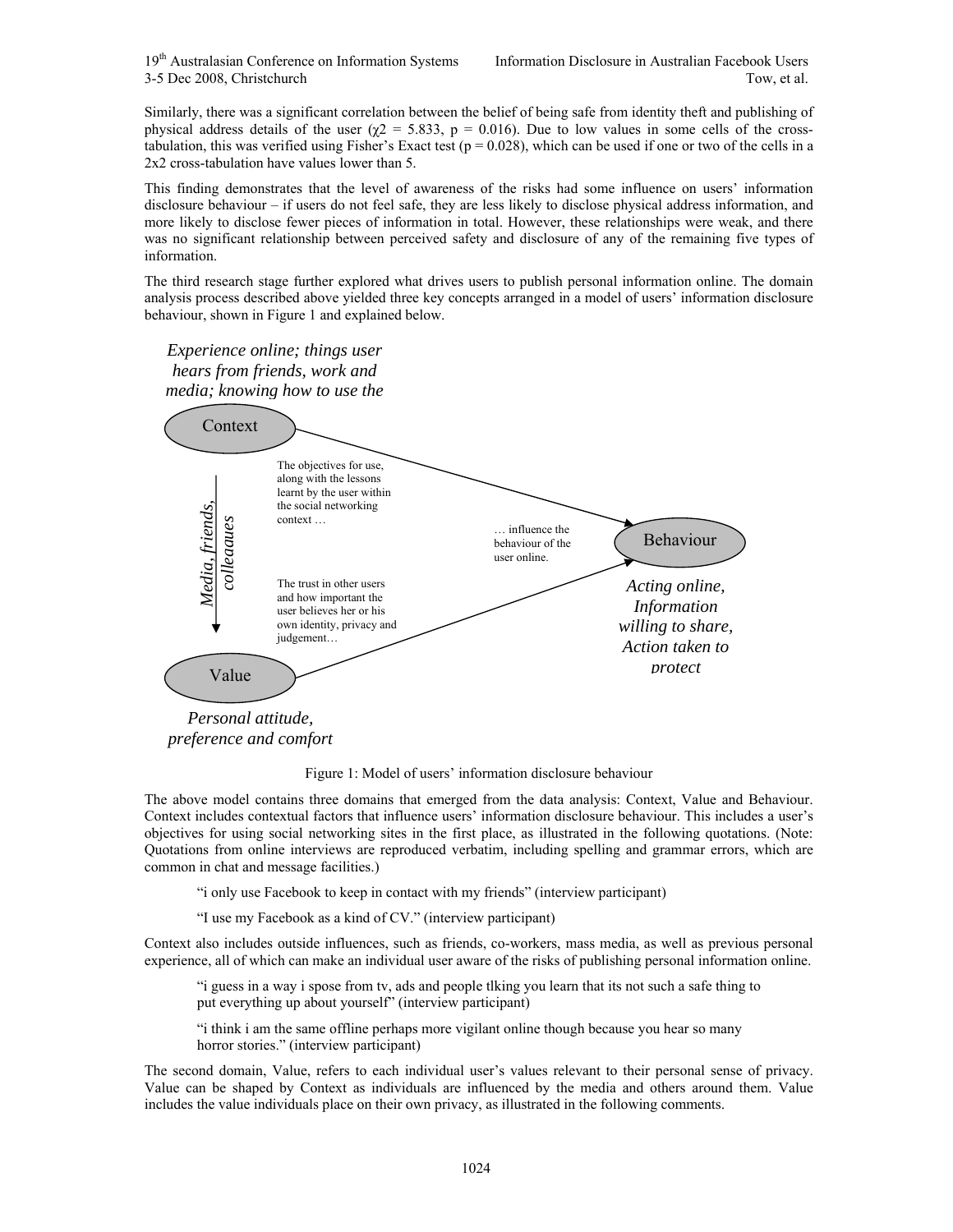19<sup>th</sup> Australasian Conference on Information Systems Information Disclosure in Australian Facebook Users 3-5 Dec 2008, Christchurch Tow, et al.

Similarly, there was a significant correlation between the belief of being safe from identity theft and publishing of physical address details of the user ( $\chi$ 2 = 5.833, p = 0.016). Due to low values in some cells of the crosstabulation, this was verified using Fisher's Exact test  $(p = 0.028)$ , which can be used if one or two of the cells in a 2x2 cross-tabulation have values lower than 5.

This finding demonstrates that the level of awareness of the risks had some influence on users' information disclosure behaviour – if users do not feel safe, they are less likely to disclose physical address information, and more likely to disclose fewer pieces of information in total. However, these relationships were weak, and there was no significant relationship between perceived safety and disclosure of any of the remaining five types of information.

The third research stage further explored what drives users to publish personal information online. The domain analysis process described above yielded three key concepts arranged in a model of users' information disclosure behaviour, shown in Figure 1 and explained below.

*Experience online; things user hears from friends, work and media; knowing how to use the* 



Figure 1: Model of users' information disclosure behaviour

The above model contains three domains that emerged from the data analysis: Context, Value and Behaviour. Context includes contextual factors that influence users' information disclosure behaviour. This includes a user's objectives for using social networking sites in the first place, as illustrated in the following quotations. (Note: Quotations from online interviews are reproduced verbatim, including spelling and grammar errors, which are common in chat and message facilities.)

"i only use Facebook to keep in contact with my friends" (interview participant)

"I use my Facebook as a kind of CV." (interview participant)

Context also includes outside influences, such as friends, co-workers, mass media, as well as previous personal experience, all of which can make an individual user aware of the risks of publishing personal information online.

"i guess in a way i spose from tv, ads and people tlking you learn that its not such a safe thing to put everything up about yourself" (interview participant)

"i think i am the same offline perhaps more vigilant online though because you hear so many horror stories." (interview participant)

The second domain, Value, refers to each individual user's values relevant to their personal sense of privacy. Value can be shaped by Context as individuals are influenced by the media and others around them. Value includes the value individuals place on their own privacy, as illustrated in the following comments.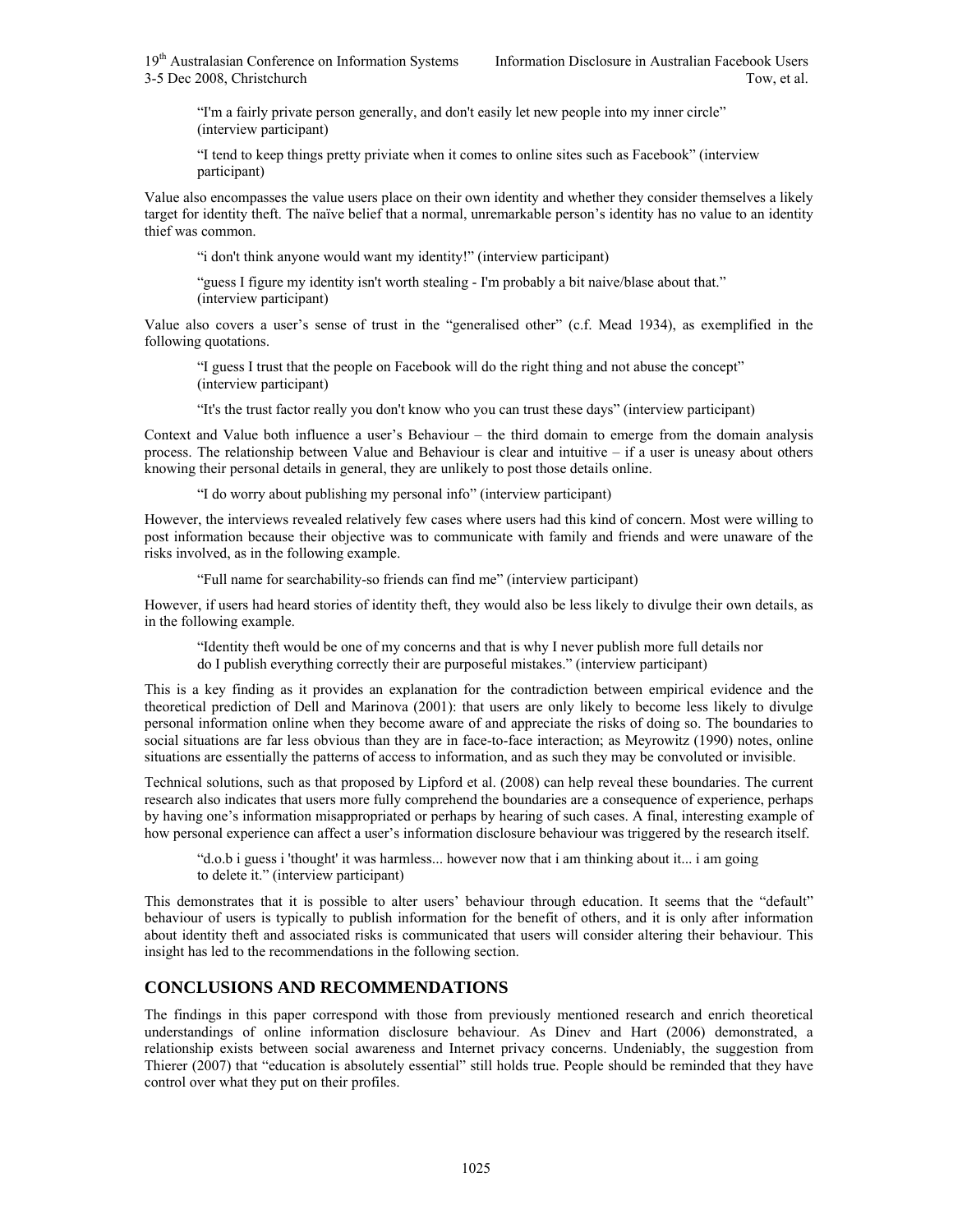"I'm a fairly private person generally, and don't easily let new people into my inner circle" (interview participant)

"I tend to keep things pretty priviate when it comes to online sites such as Facebook" (interview participant)

Value also encompasses the value users place on their own identity and whether they consider themselves a likely target for identity theft. The naïve belief that a normal, unremarkable person's identity has no value to an identity thief was common.

"i don't think anyone would want my identity!" (interview participant)

"guess I figure my identity isn't worth stealing - I'm probably a bit naive/blase about that." (interview participant)

Value also covers a user's sense of trust in the "generalised other" (c.f. Mead 1934), as exemplified in the following quotations.

"I guess I trust that the people on Facebook will do the right thing and not abuse the concept" (interview participant)

"It's the trust factor really you don't know who you can trust these days" (interview participant)

Context and Value both influence a user's Behaviour – the third domain to emerge from the domain analysis process. The relationship between Value and Behaviour is clear and intuitive – if a user is uneasy about others knowing their personal details in general, they are unlikely to post those details online.

"I do worry about publishing my personal info" (interview participant)

However, the interviews revealed relatively few cases where users had this kind of concern. Most were willing to post information because their objective was to communicate with family and friends and were unaware of the risks involved, as in the following example.

"Full name for searchability-so friends can find me" (interview participant)

However, if users had heard stories of identity theft, they would also be less likely to divulge their own details, as in the following example.

"Identity theft would be one of my concerns and that is why I never publish more full details nor do I publish everything correctly their are purposeful mistakes." (interview participant)

This is a key finding as it provides an explanation for the contradiction between empirical evidence and the theoretical prediction of Dell and Marinova (2001): that users are only likely to become less likely to divulge personal information online when they become aware of and appreciate the risks of doing so. The boundaries to social situations are far less obvious than they are in face-to-face interaction; as Meyrowitz (1990) notes, online situations are essentially the patterns of access to information, and as such they may be convoluted or invisible.

Technical solutions, such as that proposed by Lipford et al. (2008) can help reveal these boundaries. The current research also indicates that users more fully comprehend the boundaries are a consequence of experience, perhaps by having one's information misappropriated or perhaps by hearing of such cases. A final, interesting example of how personal experience can affect a user's information disclosure behaviour was triggered by the research itself.

"d.o.b i guess i 'thought' it was harmless... however now that i am thinking about it... i am going to delete it." (interview participant)

This demonstrates that it is possible to alter users' behaviour through education. It seems that the "default" behaviour of users is typically to publish information for the benefit of others, and it is only after information about identity theft and associated risks is communicated that users will consider altering their behaviour. This insight has led to the recommendations in the following section.

# **CONCLUSIONS AND RECOMMENDATIONS**

The findings in this paper correspond with those from previously mentioned research and enrich theoretical understandings of online information disclosure behaviour. As Dinev and Hart (2006) demonstrated, a relationship exists between social awareness and Internet privacy concerns. Undeniably, the suggestion from Thierer (2007) that "education is absolutely essential" still holds true. People should be reminded that they have control over what they put on their profiles.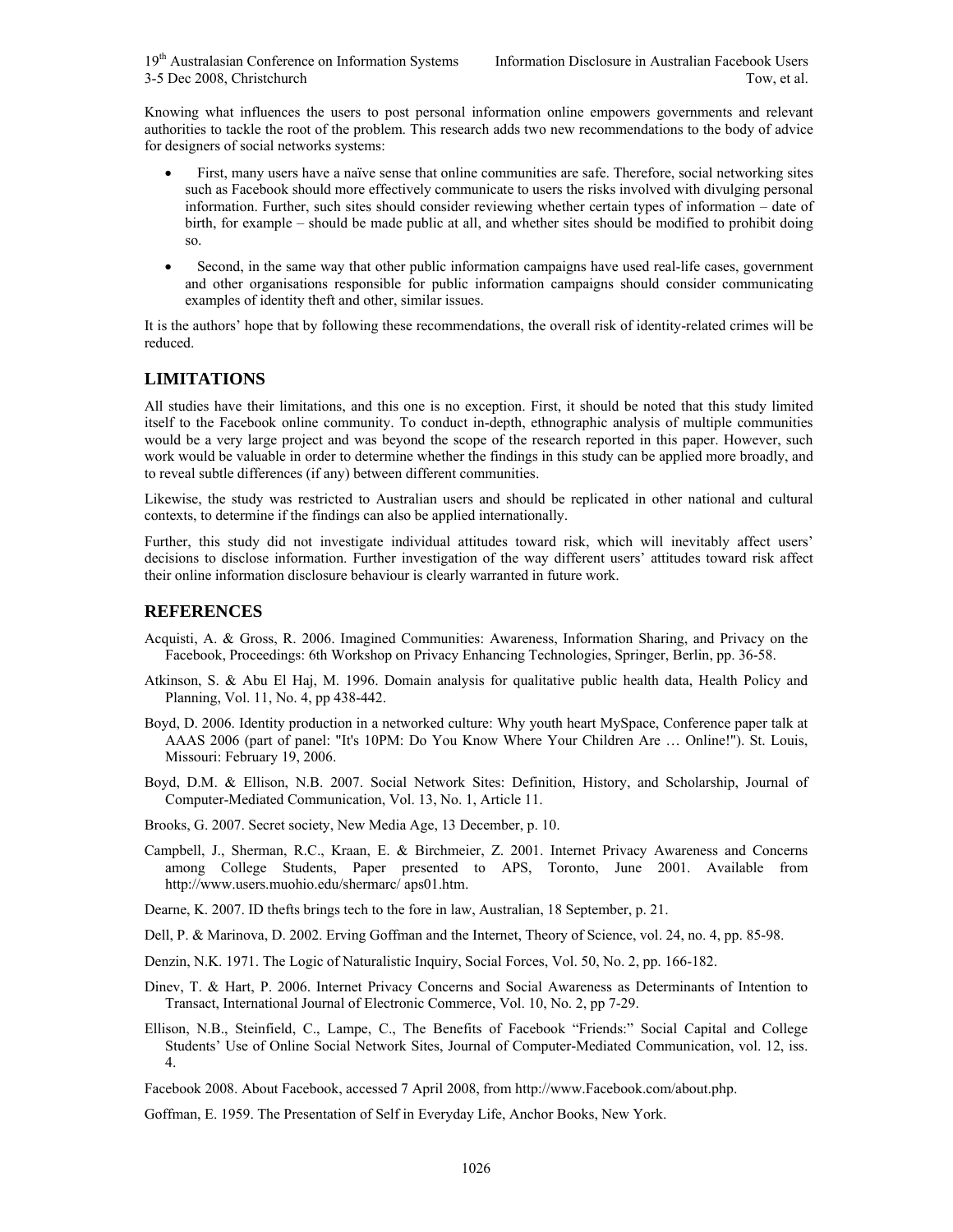Knowing what influences the users to post personal information online empowers governments and relevant authorities to tackle the root of the problem. This research adds two new recommendations to the body of advice for designers of social networks systems:

- First, many users have a naïve sense that online communities are safe. Therefore, social networking sites such as Facebook should more effectively communicate to users the risks involved with divulging personal information. Further, such sites should consider reviewing whether certain types of information – date of birth, for example – should be made public at all, and whether sites should be modified to prohibit doing so.
- Second, in the same way that other public information campaigns have used real-life cases, government and other organisations responsible for public information campaigns should consider communicating examples of identity theft and other, similar issues.

It is the authors' hope that by following these recommendations, the overall risk of identity-related crimes will be reduced.

#### **LIMITATIONS**

All studies have their limitations, and this one is no exception. First, it should be noted that this study limited itself to the Facebook online community. To conduct in-depth, ethnographic analysis of multiple communities would be a very large project and was beyond the scope of the research reported in this paper. However, such work would be valuable in order to determine whether the findings in this study can be applied more broadly, and to reveal subtle differences (if any) between different communities.

Likewise, the study was restricted to Australian users and should be replicated in other national and cultural contexts, to determine if the findings can also be applied internationally.

Further, this study did not investigate individual attitudes toward risk, which will inevitably affect users' decisions to disclose information. Further investigation of the way different users' attitudes toward risk affect their online information disclosure behaviour is clearly warranted in future work.

## **REFERENCES**

- Acquisti, A. & Gross, R. 2006. Imagined Communities: Awareness, Information Sharing, and Privacy on the Facebook, Proceedings: 6th Workshop on Privacy Enhancing Technologies, Springer, Berlin, pp. 36-58.
- Atkinson, S. & Abu El Haj, M. 1996. Domain analysis for qualitative public health data, Health Policy and Planning, Vol. 11, No. 4, pp 438-442.
- Boyd, D. 2006. Identity production in a networked culture: Why youth heart MySpace, Conference paper talk at AAAS 2006 (part of panel: "It's 10PM: Do You Know Where Your Children Are … Online!"). St. Louis, Missouri: February 19, 2006.

Boyd, D.M. & Ellison, N.B. 2007. Social Network Sites: Definition, History, and Scholarship, Journal of Computer-Mediated Communication, Vol. 13, No. 1, Article 11.

Brooks, G. 2007. Secret society, New Media Age, 13 December, p. 10.

- Campbell, J., Sherman, R.C., Kraan, E. & Birchmeier, Z. 2001. Internet Privacy Awareness and Concerns among College Students, Paper presented to APS, Toronto, June 2001. Available from http://www.users.muohio.edu/shermarc/ aps01.htm.
- Dearne, K. 2007. ID thefts brings tech to the fore in law, Australian, 18 September, p. 21.
- Dell, P. & Marinova, D. 2002. Erving Goffman and the Internet, Theory of Science, vol. 24, no. 4, pp. 85-98.
- Denzin, N.K. 1971. The Logic of Naturalistic Inquiry, Social Forces, Vol. 50, No. 2, pp. 166-182.
- Dinev, T. & Hart, P. 2006. Internet Privacy Concerns and Social Awareness as Determinants of Intention to Transact, International Journal of Electronic Commerce, Vol. 10, No. 2, pp 7-29.
- Ellison, N.B., Steinfield, C., Lampe, C., The Benefits of Facebook "Friends:" Social Capital and College Students' Use of Online Social Network Sites, Journal of Computer-Mediated Communication, vol. 12, iss. 4.

Facebook 2008. About Facebook, accessed 7 April 2008, from http://www.Facebook.com/about.php.

Goffman, E. 1959. The Presentation of Self in Everyday Life, Anchor Books, New York.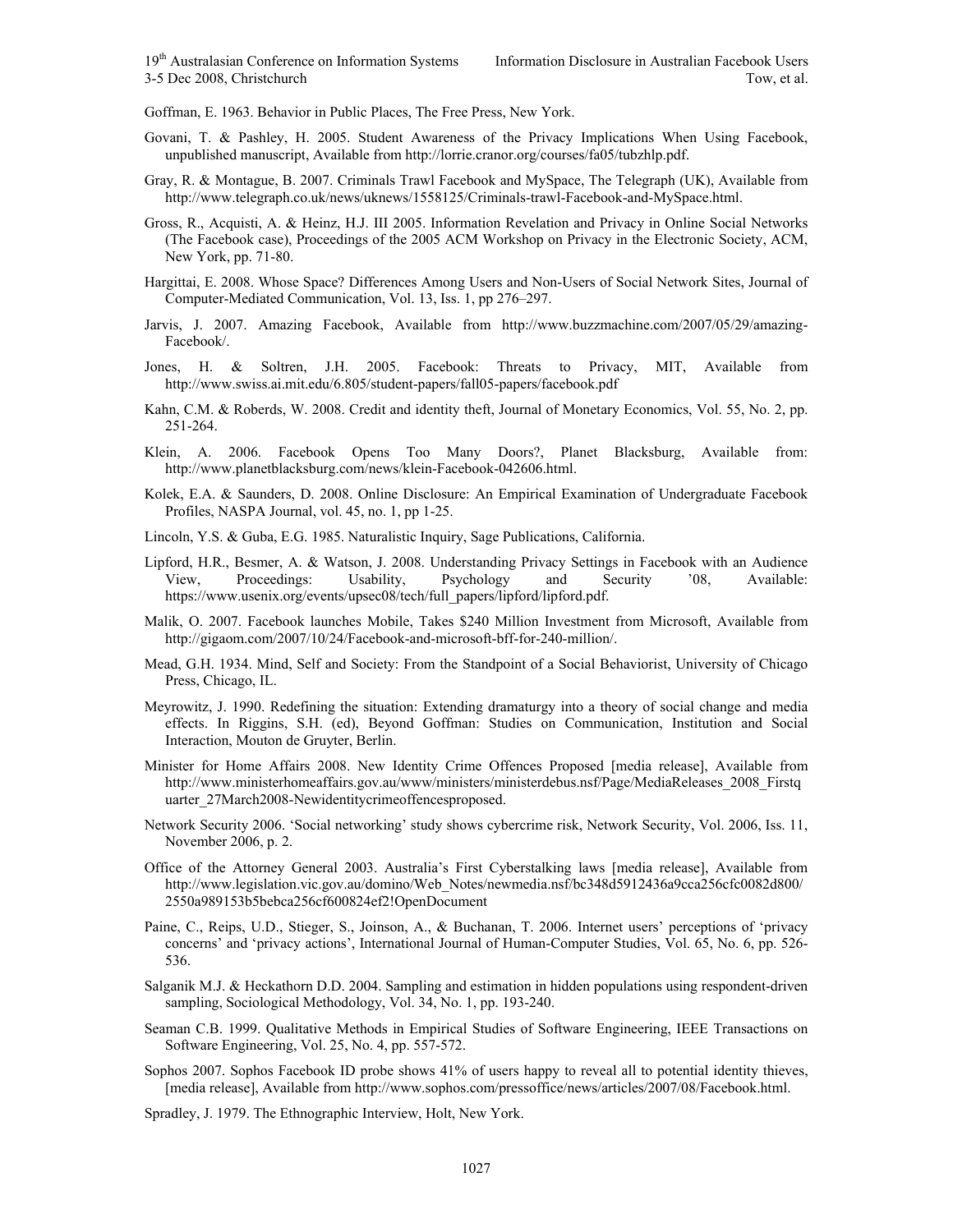Goffman, E. 1963. Behavior in Public Places, The Free Press, New York.

- Govani, T. & Pashley, H. 2005. Student Awareness of the Privacy Implications When Using Facebook, unpublished manuscript, Available from http://lorrie.cranor.org/courses/fa05/tubzhlp.pdf.
- Gray, R. & Montague, B. 2007. Criminals Trawl Facebook and MySpace, The Telegraph (UK), Available from http://www.telegraph.co.uk/news/uknews/1558125/Criminals-trawl-Facebook-and-MySpace.html.
- Gross, R., Acquisti, A. & Heinz, H.J. III 2005. Information Revelation and Privacy in Online Social Networks (The Facebook case), Proceedings of the 2005 ACM Workshop on Privacy in the Electronic Society, ACM, New York, pp. 71-80.
- Hargittai, E. 2008. Whose Space? Differences Among Users and Non-Users of Social Network Sites, Journal of Computer-Mediated Communication, Vol. 13, Iss. 1, pp 276–297.
- Jarvis, J. 2007. Amazing Facebook, Available from http://www.buzzmachine.com/2007/05/29/amazing-Facebook/.
- Jones, H. & Soltren, J.H. 2005. Facebook: Threats to Privacy, MIT, Available from http://www.swiss.ai.mit.edu/6.805/student-papers/fall05-papers/facebook.pdf
- Kahn, C.M. & Roberds, W. 2008. Credit and identity theft, Journal of Monetary Economics, Vol. 55, No. 2, pp. 251-264.
- Klein, A. 2006. Facebook Opens Too Many Doors?, Planet Blacksburg, Available from: http://www.planetblacksburg.com/news/klein-Facebook-042606.html.
- Kolek, E.A. & Saunders, D. 2008. Online Disclosure: An Empirical Examination of Undergraduate Facebook Profiles, NASPA Journal, vol. 45, no. 1, pp 1-25.
- Lincoln, Y.S. & Guba, E.G. 1985. Naturalistic Inquiry, Sage Publications, California.
- Lipford, H.R., Besmer, A. & Watson, J. 2008. Understanding Privacy Settings in Facebook with an Audience View, Proceedings: Usability, Psychology and Security '08, Available: https://www.usenix.org/events/upsec08/tech/full\_papers/lipford/lipford.pdf.
- Malik, O. 2007. Facebook launches Mobile, Takes \$240 Million Investment from Microsoft, Available from http://gigaom.com/2007/10/24/Facebook-and-microsoft-bff-for-240-million/.
- Mead, G.H. 1934. Mind, Self and Society: From the Standpoint of a Social Behaviorist, University of Chicago Press, Chicago, IL.
- Meyrowitz, J. 1990. Redefining the situation: Extending dramaturgy into a theory of social change and media effects. In Riggins, S.H. (ed), Beyond Goffman: Studies on Communication, Institution and Social Interaction, Mouton de Gruyter, Berlin.
- Minister for Home Affairs 2008. New Identity Crime Offences Proposed [media release], Available from http://www.ministerhomeaffairs.gov.au/www/ministers/ministerdebus.nsf/Page/MediaReleases\_2008\_Firstq uarter\_27March2008-Newidentitycrimeoffencesproposed.
- Network Security 2006. 'Social networking' study shows cybercrime risk, Network Security, Vol. 2006, Iss. 11, November 2006, p. 2.
- Office of the Attorney General 2003. Australia's First Cyberstalking laws [media release], Available from http://www.legislation.vic.gov.au/domino/Web\_Notes/newmedia.nsf/bc348d5912436a9cca256cfc0082d800/ 2550a989153b5bebca256cf600824ef2!OpenDocument
- Paine, C., Reips, U.D., Stieger, S., Joinson, A., & Buchanan, T. 2006. Internet users' perceptions of 'privacy concerns' and 'privacy actions', International Journal of Human-Computer Studies, Vol. 65, No. 6, pp. 526- 536.
- Salganik M.J. & Heckathorn D.D. 2004. Sampling and estimation in hidden populations using respondent-driven sampling, Sociological Methodology, Vol. 34, No. 1, pp. 193-240.
- Seaman C.B. 1999. Qualitative Methods in Empirical Studies of Software Engineering, IEEE Transactions on Software Engineering, Vol. 25, No. 4, pp. 557-572.
- Sophos 2007. Sophos Facebook ID probe shows 41% of users happy to reveal all to potential identity thieves, [media release], Available from http://www.sophos.com/pressoffice/news/articles/2007/08/Facebook.html.
- Spradley, J. 1979. The Ethnographic Interview, Holt, New York.